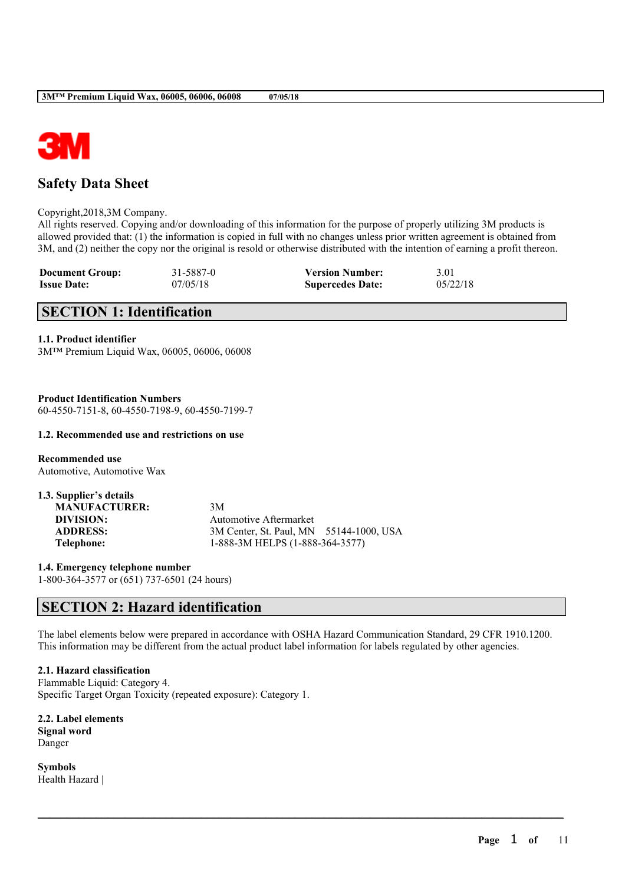

# **Safety Data Sheet**

Copyright,2018,3M Company.

All rights reserved. Copying and/or downloading of this information for the purpose of properly utilizing 3M products is allowed provided that: (1) the information is copied in full with no changes unless prior written agreement is obtained from 3M, and (2) neither the copy nor the original is resold or otherwise distributed with the intention of earning a profit thereon.

| <b>Document Group:</b> | 31-5887-0 | <b>Version Number:</b>  | 3.01     |
|------------------------|-----------|-------------------------|----------|
| <b>Issue Date:</b>     | 07/05/18  | <b>Supercedes Date:</b> | 05/22/18 |

# **SECTION 1: Identification**

**1.1. Product identifier**

3M™ Premium Liquid Wax, 06005, 06006, 06008

**Product Identification Numbers** 60-4550-7151-8, 60-4550-7198-9, 60-4550-7199-7

### **1.2. Recommended use and restrictions on use**

**Recommended use** Automotive, Automotive Wax

| 1.3. Supplier's details |                                         |  |
|-------------------------|-----------------------------------------|--|
| <b>MANUFACTURER:</b>    | 3M                                      |  |
| DIVISION:               | <b>Automotive Aftermarket</b>           |  |
| <b>ADDRESS:</b>         | 3M Center, St. Paul, MN 55144-1000, USA |  |
| Telephone:              | 1-888-3M HELPS (1-888-364-3577)         |  |

**1.4. Emergency telephone number** 1-800-364-3577 or (651) 737-6501 (24 hours)

# **SECTION 2: Hazard identification**

The label elements below were prepared in accordance with OSHA Hazard Communication Standard, 29 CFR 1910.1200. This information may be different from the actual product label information for labels regulated by other agencies.

 $\mathcal{L}_\mathcal{L} = \mathcal{L}_\mathcal{L} = \mathcal{L}_\mathcal{L} = \mathcal{L}_\mathcal{L} = \mathcal{L}_\mathcal{L} = \mathcal{L}_\mathcal{L} = \mathcal{L}_\mathcal{L} = \mathcal{L}_\mathcal{L} = \mathcal{L}_\mathcal{L} = \mathcal{L}_\mathcal{L} = \mathcal{L}_\mathcal{L} = \mathcal{L}_\mathcal{L} = \mathcal{L}_\mathcal{L} = \mathcal{L}_\mathcal{L} = \mathcal{L}_\mathcal{L} = \mathcal{L}_\mathcal{L} = \mathcal{L}_\mathcal{L}$ 

### **2.1. Hazard classification**

Flammable Liquid: Category 4. Specific Target Organ Toxicity (repeated exposure): Category 1.

**2.2. Label elements Signal word** Danger

**Symbols** Health Hazard |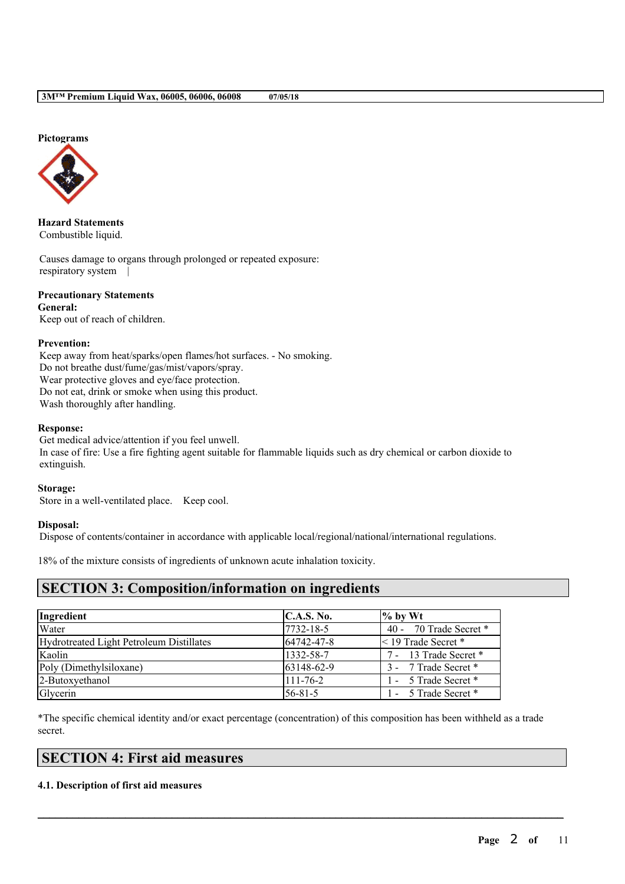### **Pictograms**



**Hazard Statements** Combustible liquid.

Causes damage to organs through prolonged or repeated exposure: respiratory system |

## **Precautionary Statements**

**General:** Keep out of reach of children.

### **Prevention:**

Keep away from heat/sparks/open flames/hot surfaces. - No smoking. Do not breathe dust/fume/gas/mist/vapors/spray. Wear protective gloves and eye/face protection. Do not eat, drink or smoke when using this product. Wash thoroughly after handling.

### **Response:**

Get medical advice/attention if you feel unwell. In case of fire: Use a fire fighting agent suitable for flammable liquids such as dry chemical or carbon dioxide to extinguish.

### **Storage:**

Store in a well-ventilated place. Keep cool.

### **Disposal:**

Dispose of contents/container in accordance with applicable local/regional/national/international regulations.

18% of the mixture consists of ingredients of unknown acute inhalation toxicity.

## **SECTION 3: Composition/information on ingredients**

| Ingredient                               | C.A.S. No.     | $\%$ by Wt               |
|------------------------------------------|----------------|--------------------------|
| Water                                    | 7732-18-5      | 40 - 70 Trade Secret *   |
| Hydrotreated Light Petroleum Distillates | 64742-47-8     | $\leq$ 19 Trade Secret * |
| Kaolin                                   | 1332-58-7      | 7 - 13 Trade Secret *    |
| Poly (Dimethylsiloxane)                  | 63148-62-9     | 3 - 7 Trade Secret *     |
| 2-Butoxyethanol                          | $111 - 76 - 2$ | 1 - 5 Trade Secret *     |
| Glycerin                                 | $56 - 81 - 5$  | 1 - 5 Trade Secret *     |

\*The specific chemical identity and/or exact percentage (concentration) of this composition has been withheld as a trade secret.

 $\mathcal{L}_\mathcal{L} = \mathcal{L}_\mathcal{L} = \mathcal{L}_\mathcal{L} = \mathcal{L}_\mathcal{L} = \mathcal{L}_\mathcal{L} = \mathcal{L}_\mathcal{L} = \mathcal{L}_\mathcal{L} = \mathcal{L}_\mathcal{L} = \mathcal{L}_\mathcal{L} = \mathcal{L}_\mathcal{L} = \mathcal{L}_\mathcal{L} = \mathcal{L}_\mathcal{L} = \mathcal{L}_\mathcal{L} = \mathcal{L}_\mathcal{L} = \mathcal{L}_\mathcal{L} = \mathcal{L}_\mathcal{L} = \mathcal{L}_\mathcal{L}$ 

# **SECTION 4: First aid measures**

### **4.1. Description of first aid measures**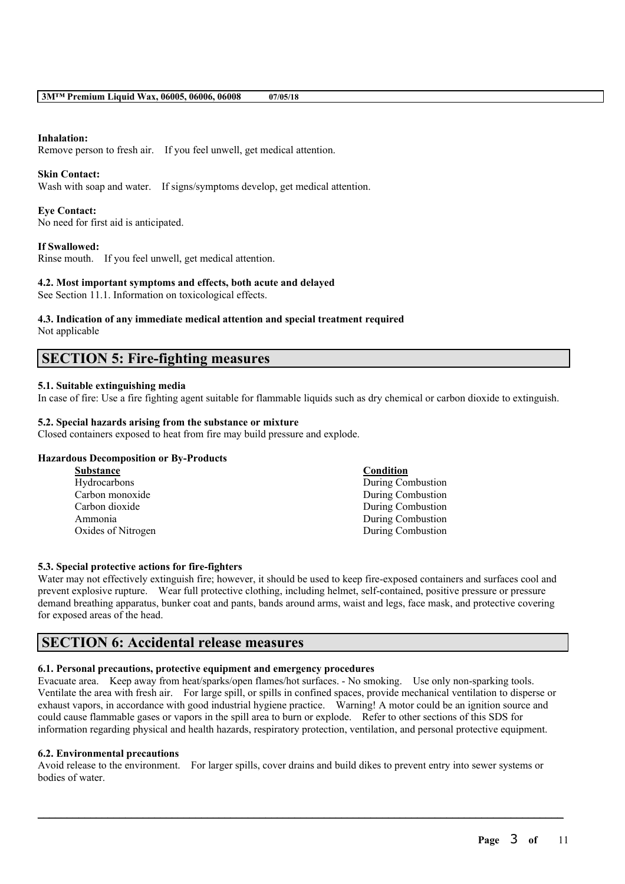### **Inhalation:**

Remove person to fresh air. If you feel unwell, get medical attention.

### **Skin Contact:**

Wash with soap and water. If signs/symptoms develop, get medical attention.

### **Eye Contact:**

No need for first aid is anticipated.

### **If Swallowed:**

Rinse mouth. If you feel unwell, get medical attention.

### **4.2. Most important symptoms and effects, both acute and delayed**

See Section 11.1. Information on toxicological effects.

# **4.3. Indication of any immediate medical attention and special treatment required**

Not applicable

## **SECTION 5: Fire-fighting measures**

### **5.1. Suitable extinguishing media**

In case of fire: Use a fire fighting agent suitable for flammable liquids such as dry chemical or carbon dioxide to extinguish.

### **5.2. Special hazards arising from the substance or mixture**

Closed containers exposed to heat from fire may build pressure and explode.

### **Hazardous Decomposition or By-Products**

| <b>Substance</b>   | Condition         |
|--------------------|-------------------|
| Hydrocarbons       | During Combustion |
| Carbon monoxide    | During Combustion |
| Carbon dioxide     | During Combustion |
| Ammonia            | During Combustion |
| Oxides of Nitrogen | During Combustion |
|                    |                   |

### **5.3. Special protective actions for fire-fighters**

Water may not effectively extinguish fire; however, it should be used to keep fire-exposed containers and surfaces cool and prevent explosive rupture. Wear full protective clothing, including helmet, self-contained, positive pressure or pressure demand breathing apparatus, bunker coat and pants, bands around arms, waist and legs, face mask, and protective covering for exposed areas of the head.

## **SECTION 6: Accidental release measures**

### **6.1. Personal precautions, protective equipment and emergency procedures**

Evacuate area. Keep away from heat/sparks/open flames/hot surfaces. - No smoking. Use only non-sparking tools. Ventilate the area with fresh air. For large spill, or spills in confined spaces, provide mechanical ventilation to disperse or exhaust vapors, in accordance with good industrial hygiene practice. Warning! A motor could be an ignition source and could cause flammable gases or vapors in the spill area to burn or explode. Refer to other sections of this SDS for information regarding physical and health hazards, respiratory protection, ventilation, and personal protective equipment.

### **6.2. Environmental precautions**

Avoid release to the environment. For larger spills, cover drains and build dikes to prevent entry into sewer systems or bodies of water.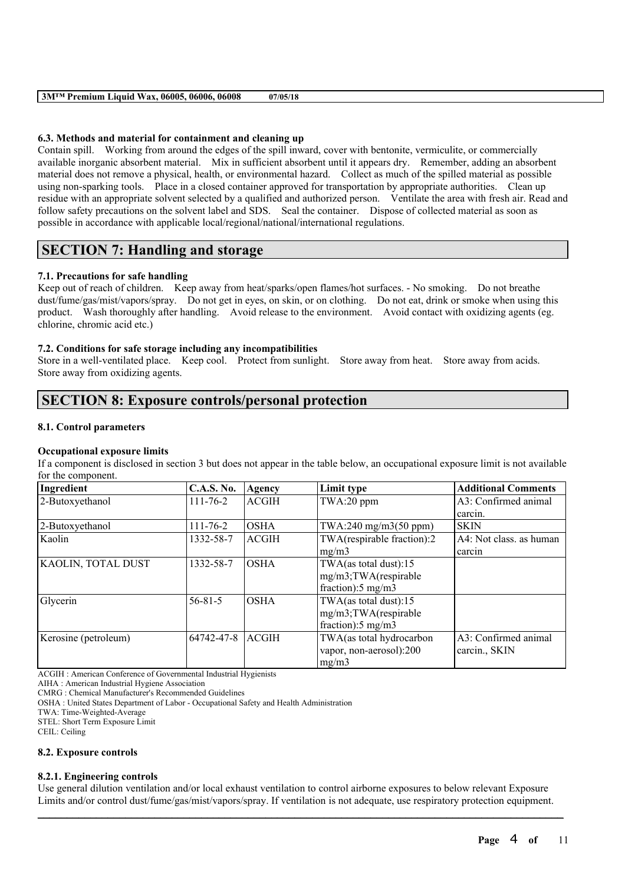### **6.3. Methods and material for containment and cleaning up**

Contain spill. Working from around the edges of the spill inward, cover with bentonite, vermiculite, or commercially available inorganic absorbent material. Mix in sufficient absorbent until it appears dry. Remember, adding an absorbent material does not remove a physical, health, or environmental hazard. Collect as much of the spilled material as possible using non-sparking tools. Place in a closed container approved for transportation by appropriate authorities. Clean up residue with an appropriate solvent selected by a qualified and authorized person. Ventilate the area with fresh air. Read and follow safety precautions on the solvent label and SDS. Seal the container. Dispose of collected material as soon as possible in accordance with applicable local/regional/national/international regulations.

# **SECTION 7: Handling and storage**

### **7.1. Precautions for safe handling**

Keep out of reach of children. Keep away from heat/sparks/open flames/hot surfaces. - No smoking. Do not breathe dust/fume/gas/mist/vapors/spray. Do not get in eyes, on skin, or on clothing. Do not eat, drink or smoke when using this product. Wash thoroughly after handling. Avoid release to the environment. Avoid contact with oxidizing agents (eg. chlorine, chromic acid etc.)

### **7.2. Conditions for safe storage including any incompatibilities**

Store in a well-ventilated place. Keep cool. Protect from sunlight. Store away from heat. Store away from acids. Store away from oxidizing agents.

# **SECTION 8: Exposure controls/personal protection**

### **8.1. Control parameters**

### **Occupational exposure limits**

If a component is disclosed in section 3 but does not appear in the table below, an occupational exposure limit is not available for the component.

| Ingredient           | <b>C.A.S. No.</b> | Agency       | Limit type                    | <b>Additional Comments</b> |
|----------------------|-------------------|--------------|-------------------------------|----------------------------|
| 2-Butoxyethanol      | $111 - 76 - 2$    | <b>ACGIH</b> | TWA:20 ppm                    | A3: Confirmed animal       |
|                      |                   |              |                               | carcin.                    |
| 2-Butoxyethanol      | $111 - 76 - 2$    | <b>OSHA</b>  | TWA:240 mg/m3(50 ppm)         | SKIN                       |
| Kaolin               | 1332-58-7         | <b>ACGIH</b> | TWA(respirable fraction):2    | A4: Not class, as human    |
|                      |                   |              | mg/m3                         | carcin                     |
| KAOLIN, TOTAL DUST   | 1332-58-7         | <b>OSHA</b>  | TWA(as total dust):15         |                            |
|                      |                   |              | mg/m3;TWA(respirable          |                            |
|                      |                   |              | fraction): $5 \text{ mg/m}$   |                            |
| Glycerin             | $56 - 81 - 5$     | <b>OSHA</b>  | TWA(as total dust):15         |                            |
|                      |                   |              | mg/m3;TWA(respirable          |                            |
|                      |                   |              | fraction): $5 \text{ mg/m}$ 3 |                            |
| Kerosine (petroleum) | 64742-47-8        | <b>ACGIH</b> | TWA(as total hydrocarbon      | A3: Confirmed animal       |
|                      |                   |              | vapor, non-aerosol):200       | carcin., SKIN              |
|                      |                   |              | mg/m3                         |                            |

ACGIH : American Conference of Governmental Industrial Hygienists

AIHA : American Industrial Hygiene Association

CMRG : Chemical Manufacturer's Recommended Guidelines

OSHA : United States Department of Labor - Occupational Safety and Health Administration

TWA: Time-Weighted-Average

STEL: Short Term Exposure Limit

CEIL: Ceiling

### **8.2. Exposure controls**

### **8.2.1. Engineering controls**

 $\mathcal{L}_\mathcal{L} = \mathcal{L}_\mathcal{L} = \mathcal{L}_\mathcal{L} = \mathcal{L}_\mathcal{L} = \mathcal{L}_\mathcal{L} = \mathcal{L}_\mathcal{L} = \mathcal{L}_\mathcal{L} = \mathcal{L}_\mathcal{L} = \mathcal{L}_\mathcal{L} = \mathcal{L}_\mathcal{L} = \mathcal{L}_\mathcal{L} = \mathcal{L}_\mathcal{L} = \mathcal{L}_\mathcal{L} = \mathcal{L}_\mathcal{L} = \mathcal{L}_\mathcal{L} = \mathcal{L}_\mathcal{L} = \mathcal{L}_\mathcal{L}$ Use general dilution ventilation and/or local exhaust ventilation to control airborne exposures to below relevant Exposure Limits and/or control dust/fume/gas/mist/vapors/spray. If ventilation is not adequate, use respiratory protection equipment.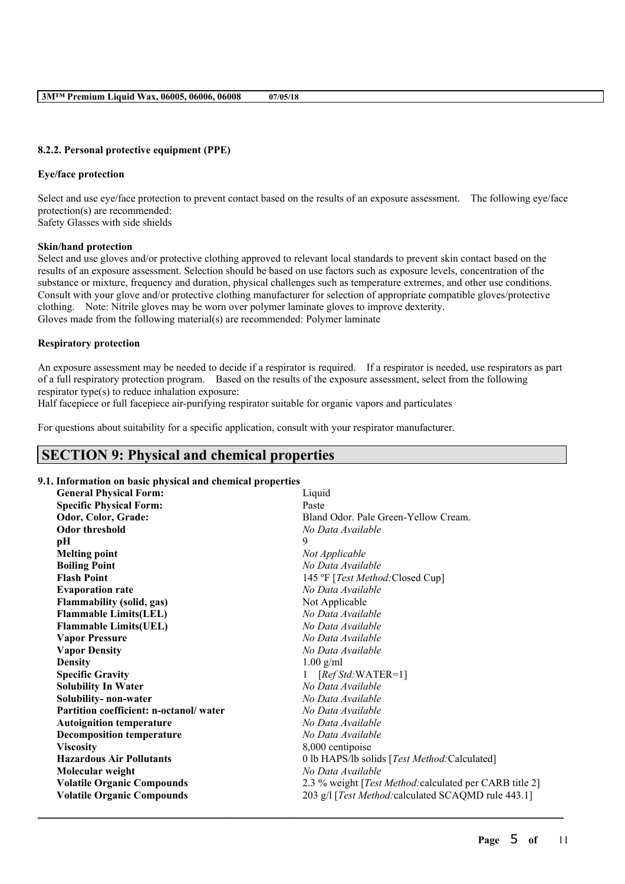## **8.2.2. Personal protective equipment (PPE)**

## **Eye/face protection**

Select and use eye/face protection to prevent contact based on the results of an exposure assessment. The following eye/face protection(s) are recommended: Safety Glasses with side shields

## **Skin/hand protection**

Select and use gloves and/or protective clothing approved to relevant local standards to prevent skin contact based on the results of an exposure assessment. Selection should be based on use factors such as exposure levels, concentration of the substance or mixture, frequency and duration, physical challenges such as temperature extremes, and other use conditions. Consult with your glove and/or protective clothing manufacturer for selection of appropriate compatible gloves/protective clothing. Note: Nitrile gloves may be worn over polymer laminate gloves to improve dexterity. Gloves made from the following material(s) are recommended: Polymer laminate

## **Respiratory protection**

An exposure assessment may be needed to decide if a respirator is required. If a respirator is needed, use respirators as part of a full respiratory protection program. Based on the results of the exposure assessment, select from the following respirator type(s) to reduce inhalation exposure:

Half facepiece or full facepiece air-purifying respirator suitable for organic vapors and particulates

For questions about suitability for a specific application, consult with your respirator manufacturer.

# **SECTION 9: Physical and chemical properties**

## **9.1. Information on basic physical and chemical properties**

| mornianon on pasic physical and enemiear properties |                                                         |
|-----------------------------------------------------|---------------------------------------------------------|
| <b>General Physical Form:</b>                       | Liquid                                                  |
| <b>Specific Physical Form:</b>                      | Paste                                                   |
| Odor, Color, Grade:                                 | Bland Odor, Pale Green-Yellow Cream.                    |
| <b>Odor threshold</b>                               | No Data Available                                       |
| pН                                                  | 9                                                       |
| <b>Melting point</b>                                | Not Applicable                                          |
| <b>Boiling Point</b>                                | No Data Available                                       |
| <b>Flash Point</b>                                  | 145 °F [Test Method: Closed Cup]                        |
| <b>Evaporation rate</b>                             | No Data Available                                       |
| Flammability (solid, gas)                           | Not Applicable                                          |
| <b>Flammable Limits(LEL)</b>                        | No Data Available                                       |
| <b>Flammable Limits(UEL)</b>                        | No Data Available                                       |
| <b>Vapor Pressure</b>                               | No Data Available                                       |
| <b>Vapor Density</b>                                | No Data Available                                       |
| <b>Density</b>                                      | $1.00$ g/ml                                             |
| <b>Specific Gravity</b>                             | $[RefStd:WATER=1]$                                      |
| <b>Solubility In Water</b>                          | No Data Available                                       |
| Solubility- non-water                               | No Data Available                                       |
| Partition coefficient: n-octanol/water              | No Data Available                                       |
| <b>Autoignition temperature</b>                     | No Data Available                                       |
| <b>Decomposition temperature</b>                    | No Data Available                                       |
| <b>Viscosity</b>                                    | 8,000 centipoise                                        |
| <b>Hazardous Air Pollutants</b>                     | 0 lb HAPS/lb solids [Test Method:Calculated]            |
| Molecular weight                                    | No Data Available                                       |
| <b>Volatile Organic Compounds</b>                   | 2.3 % weight [Test Method: calculated per CARB title 2] |
| <b>Volatile Organic Compounds</b>                   | 203 g/l [Test Method: calculated SCAQMD rule 443.1]     |
|                                                     |                                                         |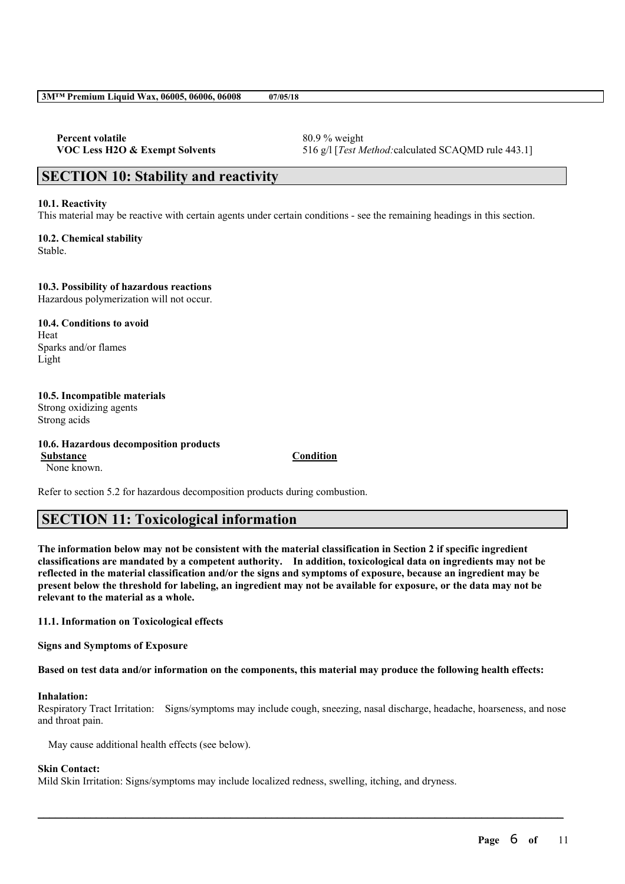**Percent volatile** 80.9 % weight

**VOC Less H2O & Exempt Solvents** 516 g/l [*Test Method:*calculated SCAQMD rule 443.1]

## **SECTION 10: Stability and reactivity**

### **10.1. Reactivity**

This material may be reactive with certain agents under certain conditions - see the remaining headings in this section.

**10.2. Chemical stability** Stable.

### **10.3. Possibility of hazardous reactions**

Hazardous polymerization will not occur.

**10.4. Conditions to avoid** Heat Sparks and/or flames Light

### **10.5. Incompatible materials** Strong oxidizing agents Strong acids

**10.6. Hazardous decomposition products Substance Condition** None known.

Refer to section 5.2 for hazardous decomposition products during combustion.

# **SECTION 11: Toxicological information**

The information below may not be consistent with the material classification in Section 2 if specific ingredient **classifications are mandated by a competent authority. In addition, toxicological data on ingredients may not be** reflected in the material classification and/or the signs and symptoms of exposure, because an ingredient may be present below the threshold for labeling, an ingredient may not be available for exposure, or the data may not be **relevant to the material as a whole.**

### **11.1. Information on Toxicological effects**

**Signs and Symptoms of Exposure**

Based on test data and/or information on the components, this material may produce the following health effects:

### **Inhalation:**

Respiratory Tract Irritation: Signs/symptoms may include cough, sneezing, nasal discharge, headache, hoarseness, and nose and throat pain.

 $\mathcal{L}_\mathcal{L} = \mathcal{L}_\mathcal{L} = \mathcal{L}_\mathcal{L} = \mathcal{L}_\mathcal{L} = \mathcal{L}_\mathcal{L} = \mathcal{L}_\mathcal{L} = \mathcal{L}_\mathcal{L} = \mathcal{L}_\mathcal{L} = \mathcal{L}_\mathcal{L} = \mathcal{L}_\mathcal{L} = \mathcal{L}_\mathcal{L} = \mathcal{L}_\mathcal{L} = \mathcal{L}_\mathcal{L} = \mathcal{L}_\mathcal{L} = \mathcal{L}_\mathcal{L} = \mathcal{L}_\mathcal{L} = \mathcal{L}_\mathcal{L}$ 

May cause additional health effects (see below).

### **Skin Contact:**

Mild Skin Irritation: Signs/symptoms may include localized redness, swelling, itching, and dryness.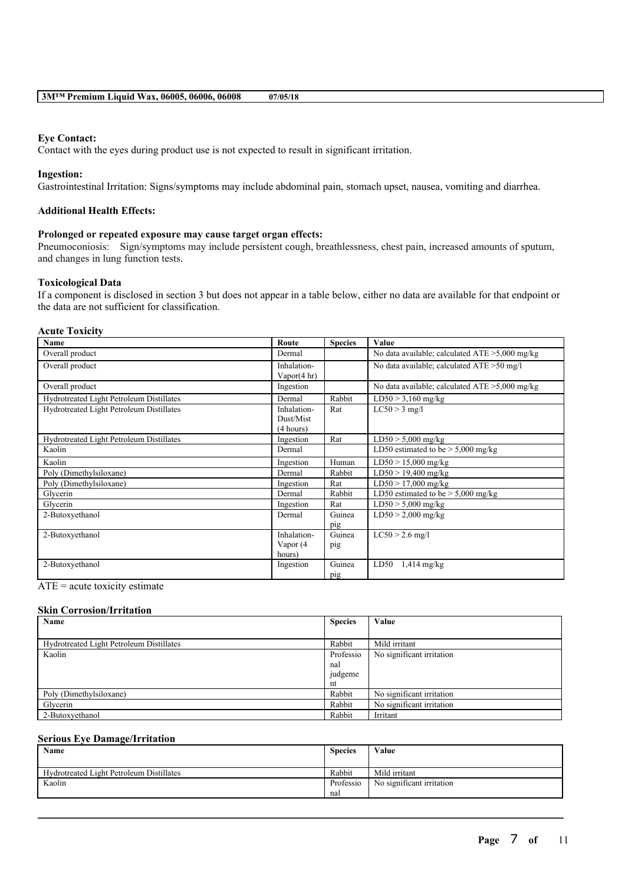### **Eye Contact:**

Contact with the eyes during product use is not expected to result in significant irritation.

### **Ingestion:**

Gastrointestinal Irritation: Signs/symptoms may include abdominal pain, stomach upset, nausea, vomiting and diarrhea.

### **Additional Health Effects:**

### **Prolonged or repeated exposure may cause target organ effects:**

Pneumoconiosis: Sign/symptoms may include persistent cough, breathlessness, chest pain, increased amounts of sputum, and changes in lung function tests.

### **Toxicological Data**

If a component is disclosed in section 3 but does not appear in a table below, either no data are available for that endpoint or the data are not sufficient for classification.

#### **Acute Toxicity**

| <b>Name</b>                              | Route                                 | <b>Species</b> | Value                                             |
|------------------------------------------|---------------------------------------|----------------|---------------------------------------------------|
| Overall product                          | Dermal                                |                | No data available; calculated $ATE > 5,000$ mg/kg |
| Overall product                          | Inhalation-<br>Vapor $(4 \text{ hr})$ |                | No data available; calculated $ATE > 50$ mg/l     |
| Overall product                          | Ingestion                             |                | No data available; calculated $ATE > 5,000$ mg/kg |
| Hydrotreated Light Petroleum Distillates | Dermal                                | Rabbit         | $LD50 > 3,160$ mg/kg                              |
| Hydrotreated Light Petroleum Distillates | Inhalation-<br>Dust/Mist<br>(4 hours) | Rat            | $LC50 > 3$ mg/l                                   |
| Hydrotreated Light Petroleum Distillates | Ingestion                             | Rat            | $LD50 > 5,000$ mg/kg                              |
| Kaolin                                   | Dermal                                |                | LD50 estimated to be $> 5,000$ mg/kg              |
| Kaolin                                   | Ingestion                             | Human          | $LD50 > 15,000$ mg/kg                             |
| Poly (Dimethylsiloxane)                  | Dermal                                | Rabbit         | $LD50 > 19,400$ mg/kg                             |
| Poly (Dimethylsiloxane)                  | Ingestion                             | Rat            | $LD50 > 17,000$ mg/kg                             |
| Glycerin                                 | Dermal                                | Rabbit         | LD50 estimated to be $> 5,000$ mg/kg              |
| Glycerin                                 | Ingestion                             | Rat            | $LD50 > 5,000$ mg/kg                              |
| 2-Butoxyethanol                          | Dermal                                | Guinea<br>pig  | $LD50 > 2,000$ mg/kg                              |
| 2-Butoxyethanol                          | Inhalation-<br>Vapor (4<br>hours)     | Guinea<br>pig  | $LC50 > 2.6$ mg/l                                 |
| 2-Butoxyethanol                          | Ingestion                             | Guinea<br>pig  | LD50<br>$1,414$ mg/kg                             |

 $ATE = acute$  toxicity estimate

### **Skin Corrosion/Irritation**

| Name                                     | <b>Species</b> | Value                     |
|------------------------------------------|----------------|---------------------------|
|                                          |                |                           |
| Hydrotreated Light Petroleum Distillates | Rabbit         | Mild irritant             |
| Kaolin                                   | Professio      | No significant irritation |
|                                          | nal            |                           |
|                                          | judgeme        |                           |
|                                          | nt             |                           |
| Poly (Dimethylsiloxane)                  | Rabbit         | No significant irritation |
| Glycerin                                 | Rabbit         | No significant irritation |
| 2-Butoxyethanol                          | Rabbit         | Irritant                  |

#### **Serious Eye Damage/Irritation**

| Name                                     | <b>Species</b> | Value                     |
|------------------------------------------|----------------|---------------------------|
|                                          |                |                           |
| Hydrotreated Light Petroleum Distillates | Rabbit         | Mild irritant             |
| Kaolin                                   | Professio      | No significant irritation |
|                                          | nal            |                           |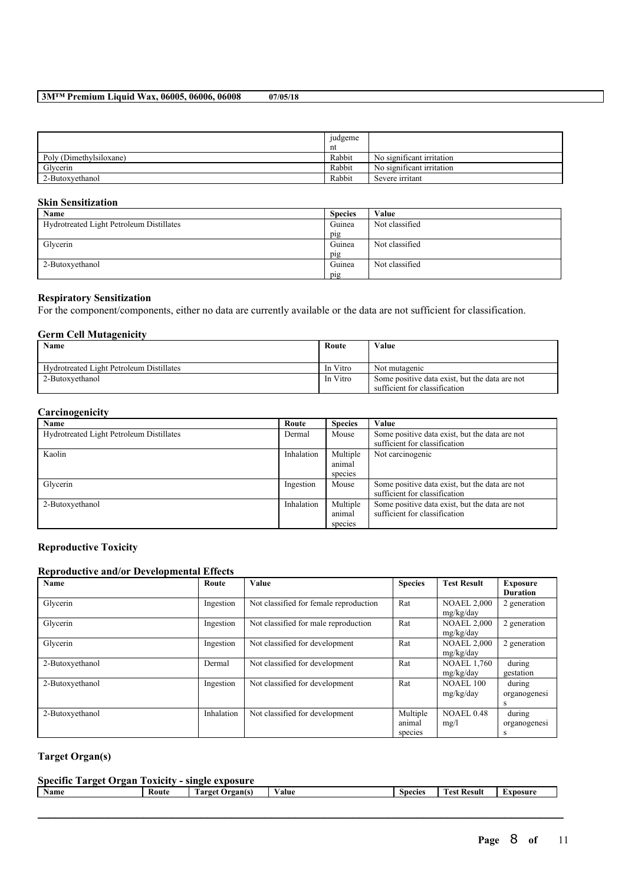|                         | judgeme |                           |
|-------------------------|---------|---------------------------|
|                         | nt      |                           |
| Poly (Dimethylsiloxane) | Rabbit  | No significant irritation |
| Glycerin                | Rabbit  | No significant irritation |
| 2-Butoxyethanol         | Rabbit  | Severe irritant           |

### **Skin Sensitization**

| Name                                     | <b>Species</b> | Value          |
|------------------------------------------|----------------|----------------|
| Hydrotreated Light Petroleum Distillates | Guinea         | Not classified |
|                                          | pig            |                |
| Glycerin                                 | Guinea         | Not classified |
|                                          | pig            |                |
| 2-Butoxyethanol                          | Guinea         | Not classified |
|                                          | pig            |                |

### **Respiratory Sensitization**

For the component/components, either no data are currently available or the data are not sufficient for classification.

### **Germ Cell Mutagenicity**

| Name                                     | Route    | Value                                                                           |
|------------------------------------------|----------|---------------------------------------------------------------------------------|
| Hydrotreated Light Petroleum Distillates | In Vitro | Not mutagenic                                                                   |
| 2-Butoxyethanol                          | In Vitro | Some positive data exist, but the data are not<br>sufficient for classification |

### **Carcinogenicity**

| Name                                     | Route      | <b>Species</b> | Value                                          |
|------------------------------------------|------------|----------------|------------------------------------------------|
| Hydrotreated Light Petroleum Distillates | Dermal     | Mouse          | Some positive data exist, but the data are not |
|                                          |            |                | sufficient for classification                  |
| Kaolin                                   | Inhalation | Multiple       | Not carcinogenic                               |
|                                          |            | animal         |                                                |
|                                          |            | species        |                                                |
| Glycerin                                 | Ingestion  | Mouse          | Some positive data exist, but the data are not |
|                                          |            |                | sufficient for classification                  |
| 2-Butoxyethanol                          | Inhalation | Multiple       | Some positive data exist, but the data are not |
|                                          |            | animal         | sufficient for classification                  |
|                                          |            | species        |                                                |

### **Reproductive Toxicity**

### **Reproductive and/or Developmental Effects**

| Name            | Route      | Value                                  | <b>Species</b>                | <b>Test Result</b>              | <b>Exposure</b><br><b>Duration</b> |
|-----------------|------------|----------------------------------------|-------------------------------|---------------------------------|------------------------------------|
| Glycerin        | Ingestion  | Not classified for female reproduction | Rat                           | <b>NOAEL 2,000</b><br>mg/kg/day | 2 generation                       |
| Glycerin        | Ingestion  | Not classified for male reproduction   | Rat                           | <b>NOAEL 2,000</b><br>mg/kg/day | 2 generation                       |
| Glycerin        | Ingestion  | Not classified for development         | Rat                           | <b>NOAEL 2.000</b><br>mg/kg/day | 2 generation                       |
| 2-Butoxyethanol | Dermal     | Not classified for development         | Rat                           | <b>NOAEL 1,760</b><br>mg/kg/day | during<br>gestation                |
| 2-Butoxyethanol | Ingestion  | Not classified for development         | Rat                           | <b>NOAEL 100</b><br>mg/kg/day   | during<br>organogenesi<br>S        |
| 2-Butoxyethanol | Inhalation | Not classified for development         | Multiple<br>animal<br>species | <b>NOAEL 0.48</b><br>mg/l       | during<br>organogenesi<br>s        |

## **Target Organ(s)**

| $\sim$<br>$\bullet$<br>. arget<br>Specific<br>exposure<br>Jrgan<br><b>FOXICITY</b><br>single |       |                   |       |         |                          |                  |
|----------------------------------------------------------------------------------------------|-------|-------------------|-------|---------|--------------------------|------------------|
| Name                                                                                         | Koute | Target<br>Organ(s | 'alue | Species | m.<br><b>Fest Result</b> | <b>LXDOSUITE</b> |
|                                                                                              |       |                   |       |         |                          |                  |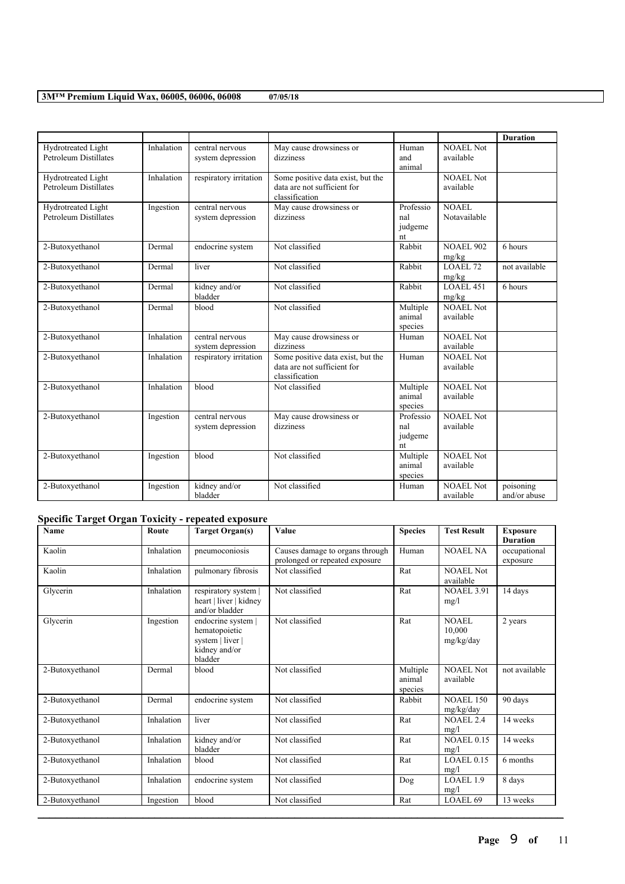|                                                    |            |                        |                                   |                    |                               | <b>Duration</b> |
|----------------------------------------------------|------------|------------------------|-----------------------------------|--------------------|-------------------------------|-----------------|
| Hydrotreated Light                                 | Inhalation | central nervous        | May cause drowsiness or           | Human              | NOAEL Not                     |                 |
| <b>Petroleum Distillates</b>                       |            | system depression      | dizziness                         | and                | available                     |                 |
|                                                    | Inhalation | respiratory irritation | Some positive data exist, but the | animal             | <b>NOAEL Not</b>              |                 |
| Hydrotreated Light<br><b>Petroleum Distillates</b> |            |                        | data are not sufficient for       |                    | available                     |                 |
|                                                    |            |                        | classification                    |                    |                               |                 |
| Hydrotreated Light                                 | Ingestion  | central nervous        | May cause drowsiness or           | Professio          | <b>NOAEL</b>                  |                 |
| <b>Petroleum Distillates</b>                       |            | system depression      | dizziness                         | nal                | Notavailable                  |                 |
|                                                    |            |                        |                                   | judgeme            |                               |                 |
| 2-Butoxyethanol                                    | Dermal     | endocrine system       | Not classified                    | nt<br>Rabbit       | <b>NOAEL 902</b>              | 6 hours         |
|                                                    |            |                        |                                   |                    | mg/kg                         |                 |
| 2-Butoxyethanol                                    | Dermal     | liver                  | Not classified                    | Rabbit             | LOAEL 72                      | not available   |
|                                                    |            |                        |                                   |                    | mg/kg                         |                 |
| 2-Butoxyethanol                                    | Dermal     | kidney and/or          | Not classified                    | Rabbit             | LOAEL 451                     | 6 hours         |
|                                                    |            | bladder                |                                   |                    | mg/kg                         |                 |
| 2-Butoxyethanol                                    | Dermal     | blood                  | Not classified                    | Multiple<br>animal | <b>NOAEL Not</b><br>available |                 |
|                                                    |            |                        |                                   | species            |                               |                 |
| 2-Butoxyethanol                                    | Inhalation | central nervous        | May cause drowsiness or           | Human              | <b>NOAEL Not</b>              |                 |
|                                                    |            | system depression      | dizziness                         |                    | available                     |                 |
| 2-Butoxyethanol                                    | Inhalation | respiratory irritation | Some positive data exist, but the | Human              | <b>NOAEL Not</b>              |                 |
|                                                    |            |                        | data are not sufficient for       |                    | available                     |                 |
|                                                    |            |                        | classification                    |                    |                               |                 |
| 2-Butoxyethanol                                    | Inhalation | blood                  | Not classified                    | Multiple<br>animal | <b>NOAEL Not</b><br>available |                 |
|                                                    |            |                        |                                   | species            |                               |                 |
| 2-Butoxyethanol                                    | Ingestion  | central nervous        | May cause drowsiness or           | Professio          | NOAEL Not                     |                 |
|                                                    |            | system depression      | dizziness                         | nal                | available                     |                 |
|                                                    |            |                        |                                   | judgeme            |                               |                 |
|                                                    |            |                        |                                   | nt                 |                               |                 |
| 2-Butoxyethanol                                    | Ingestion  | blood                  | Not classified                    | Multiple<br>animal | <b>NOAEL Not</b><br>available |                 |
|                                                    |            |                        |                                   | species            |                               |                 |
| 2-Butoxyethanol                                    | Ingestion  | kidney and/or          | Not classified                    | Human              | <b>NOAEL Not</b>              | poisoning       |
|                                                    |            | bladder                |                                   |                    | available                     | and/or abuse    |

# **Specific Target Organ Toxicity - repeated exposure**

| <b>Name</b>     | Route      | Target Organ(s)                                                                     | Value                                                             | <b>Species</b>                | <b>Test Result</b>            | <b>Exposure</b><br><b>Duration</b> |
|-----------------|------------|-------------------------------------------------------------------------------------|-------------------------------------------------------------------|-------------------------------|-------------------------------|------------------------------------|
| Kaolin          | Inhalation | pneumoconiosis                                                                      | Causes damage to organs through<br>prolonged or repeated exposure | Human                         | <b>NOAEL NA</b>               | occupational<br>exposure           |
| Kaolin          | Inhalation | pulmonary fibrosis                                                                  | Not classified                                                    | Rat                           | <b>NOAEL Not</b><br>available |                                    |
| Glycerin        | Inhalation | respiratory system  <br>heart   liver   kidney<br>and/or bladder                    | Not classified                                                    | Rat                           | <b>NOAEL 3.91</b><br>mg/l     | 14 days                            |
| Glycerin        | Ingestion  | endocrine system  <br>hematopoietic<br>system   liver  <br>kidney and/or<br>bladder | Not classified                                                    | Rat                           | NOAEL<br>10,000<br>mg/kg/day  | 2 years                            |
| 2-Butoxyethanol | Dermal     | blood                                                                               | Not classified                                                    | Multiple<br>animal<br>species | <b>NOAEL Not</b><br>available | not available                      |
| 2-Butoxyethanol | Dermal     | endocrine system                                                                    | Not classified                                                    | Rabbit                        | <b>NOAEL 150</b><br>mg/kg/day | 90 days                            |
| 2-Butoxyethanol | Inhalation | liver                                                                               | Not classified                                                    | Rat                           | NOAEL 2.4<br>mg/l             | 14 weeks                           |
| 2-Butoxyethanol | Inhalation | kidney and/or<br>bladder                                                            | Not classified                                                    | Rat                           | <b>NOAEL 0.15</b><br>mg/l     | 14 weeks                           |
| 2-Butoxyethanol | Inhalation | blood                                                                               | Not classified                                                    | Rat                           | $LOAEL$ 0.15<br>mg/l          | 6 months                           |
| 2-Butoxyethanol | Inhalation | endocrine system                                                                    | Not classified                                                    | Dog                           | LOAEL 1.9<br>mg/l             | 8 days                             |
| 2-Butoxyethanol | Ingestion  | blood                                                                               | Not classified                                                    | Rat                           | LOAEL <sub>69</sub>           | 13 weeks                           |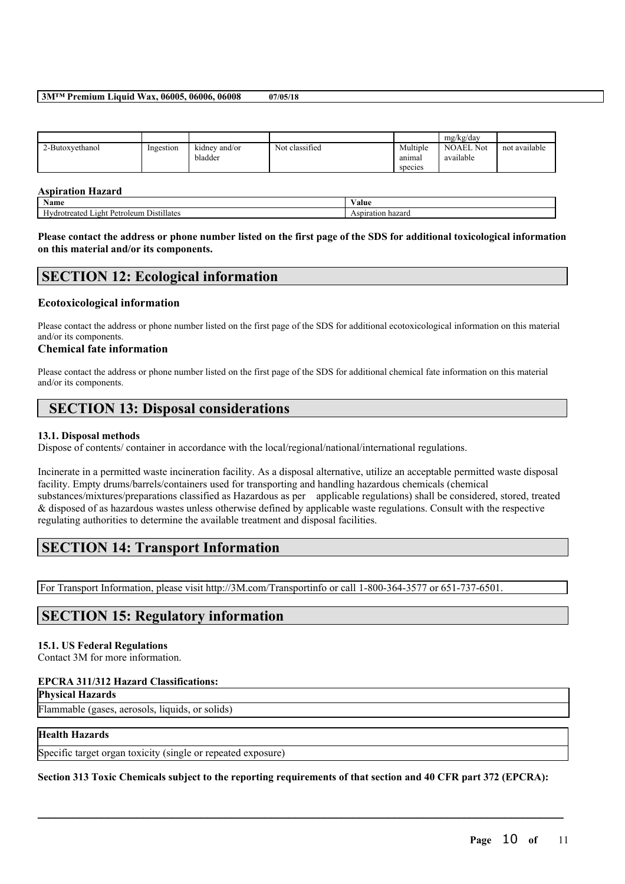|                 |           |                          |                |                               | mg/kg/day                     |               |
|-----------------|-----------|--------------------------|----------------|-------------------------------|-------------------------------|---------------|
| 2-Butoxyethanol | Ingestion | kidney and/or<br>bladder | Not classified | Multiple<br>anımal<br>species | <b>NOAEL Not</b><br>available | not available |

### **Aspiration Hazard**

| . .<br>Name                                                  | 'alue               |
|--------------------------------------------------------------|---------------------|
| <br>tullates.<br>oleum<br>eated<br>$P_{\mathsf{P}}$<br>10 hi | hazaro<br>HOI<br>11 |

Please contact the address or phone number listed on the first page of the SDS for additional toxicological information **on this material and/or its components.**

## **SECTION 12: Ecological information**

### **Ecotoxicological information**

Please contact the address or phone number listed on the first page of the SDS for additional ecotoxicological information on this material and/or its components.

### **Chemical fate information**

Please contact the address or phone number listed on the first page of the SDS for additional chemical fate information on this material and/or its components.

# **SECTION 13: Disposal considerations**

### **13.1. Disposal methods**

Dispose of contents/ container in accordance with the local/regional/national/international regulations.

Incinerate in a permitted waste incineration facility. As a disposal alternative, utilize an acceptable permitted waste disposal facility. Empty drums/barrels/containers used for transporting and handling hazardous chemicals (chemical substances/mixtures/preparations classified as Hazardous as per applicable regulations) shall be considered, stored, treated & disposed of as hazardous wastes unless otherwise defined by applicable waste regulations. Consult with the respective regulating authorities to determine the available treatment and disposal facilities.

# **SECTION 14: Transport Information**

For Transport Information, please visit http://3M.com/Transportinfo or call 1-800-364-3577 or 651-737-6501.

# **SECTION 15: Regulatory information**

### **15.1. US Federal Regulations**

Contact 3M for more information.

### **EPCRA 311/312 Hazard Classifications:**

**Physical Hazards**

Flammable (gases, aerosols, liquids, or solids)

### **Health Hazards**

Specific target organ toxicity (single or repeated exposure)

Section 313 Toxic Chemicals subject to the reporting requirements of that section and 40 CFR part 372 (EPCRA):